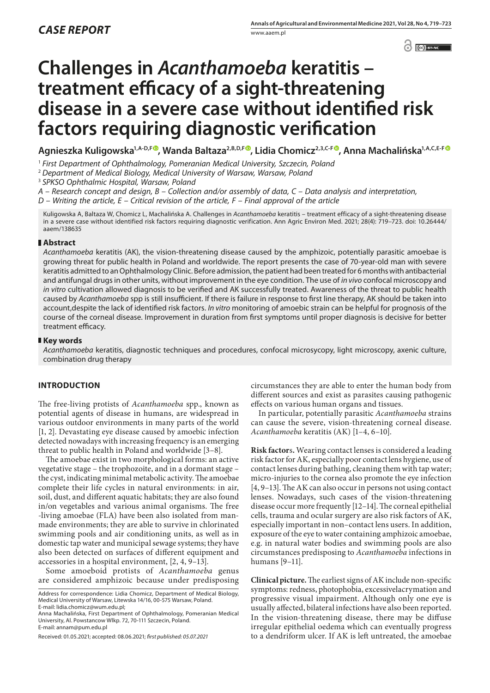$\odot$   $\odot$  EY-NC

# **Challenges in** *Acanthamoeba* **keratitis – treatment efficacy of a sight-threatening disease in a severe case without identified risk factors requiring diagnostic verification**

**Agnieszka Kuligowska1,A-D,F [,](https://orcid.org/0000-0002-9876-0459) Wanda Baltaza2,B,D,F , Lidia Chomicz2,3,C-F , Anna Machalińska1,A,C,E-F**

<sup>1</sup> *First Department of Ophthalmology, Pomeranian Medical University, Szczecin, Poland*

<sup>2</sup> *Department of Medical Biology, Medical University of Warsaw, Warsaw, Poland*

<sup>3</sup> *SPKSO Ophthalmic Hospital, Warsaw, Poland*

*A – Research concept and design, B – Collection and/or assembly of data, C – Data analysis and interpretation,* 

*D – Writing the article, E – Critical revision of the article, F – Final approval of the article*

Kuligowska A, Baltaza W, Chomicz L, Machalińska A. Challenges in *Acanthamoeba* keratitis – treatment efficacy of a sight-threatening disease in a severe case without identified risk factors requiring diagnostic verification. Ann Agric Environ Med. 2021; 28(4): 719–723. doi: 10.26444/ aaem/138635

## **Abstract**

*Acanthamoeba* keratitis (AK), the vision-threatening disease caused by the amphizoic, potentially parasitic amoebae is growing threat for public health in Poland and worldwide. The report presents the case of 70-year-old man with severe keratitis admitted to an Ophthalmology Clinic. Before admission, the patient had been treated for 6 months with antibacterial and antifungal drugs in other units, without improvement in the eye condition. The use of *in vivo* confocal microscopy and *in vitro* cultivation allowed diagnosis to be verified and AK successfully treated. Awareness of the threat to public health caused by *Acanthamoeba* spp is still insufficient. If there is failure in response to first line therapy, AK should be taken into account,despite the lack of identified risk factors. *In vitro* monitoring of amoebic strain can be helpful for prognosis of the course of the corneal disease. Improvement in duration from first symptoms until proper diagnosis is decisive for better treatment efficacy.

## **Key words**

*Acanthamoeba* keratitis, diagnostic techniques and procedures, confocal microsycopy, light microscopy, axenic culture, combination drug therapy

## **INTRODUCTION**

The free-living protists of *Acanthamoeba* spp., known as potential agents of disease in humans, are widespread in various outdoor environments in many parts of the world [1, 2]. Devastating eye disease caused by amoebic infection detected nowadays with increasing frequency is an emerging threat to public health in Poland and worldwide [3–8].

The amoebae exist in two morphological forms: an active vegetative stage – the trophozoite, and in a dormant stage – the cyst, indicating minimal metabolic activity. The amoebae complete their life cycles in natural environments: in air, soil, dust, and different aquatic habitats; they are also found in/on vegetables and various animal organisms. The free -living amoebae (FLA) have been also isolated from manmade environments; they are able to survive in chlorinated swimming pools and air conditioning units, as well as in domestic tap water and municipal sewage systems; they have also been detected on surfaces of different equipment and accessories in a hospital environment, [2, 4, 9–13].

Some amoeboid protists of *Acanthamoeba* genus are considered amphizoic because under predisposing

Anna Machalińska, First Department of Ophthalmology, Pomeranian Medical University, Al. Powstancow Wlkp. 72, 70-111 Szczecin, Poland. E-mail: annam@pum.edu.pl

circumstances they are able to enter the human body from different sources and exist as parasites causing pathogenic effects on various human organs and tissues.

In particular, potentially parasitic *Acanthamoeba* strains can cause the severe, vision-threatening corneal disease. *Acanthamoeba* keratitis (AK) [1–4, 6–10].

**Risk factor**s**.** Wearing contact lenses is considered a leading risk factor for AK, especially poor contact lens hygiene, use of contact lenses during bathing, cleaning them with tap water; micro-injuries to the cornea also promote the eye infection [4, 9–13]. The AK can also occur in persons not using contact lenses. Nowadays, such cases of the vision-threatening disease occur more frequently [12–14]. The corneal epithelial cells, trauma and ocular surgery are also risk factors of AK, especially important in non–contact lens users. In addition, exposure of the eye to water containing amphizoic amoebae, e.g. in natural water bodies and swimming pools are also circumstances predisposing to *Acanthamoeba* infections in humans [9–11].

**Clinical picture.** The earliest signs of AK include non-specific symptoms: redness, photophobia, excessivelacrymation and progressive visual impairment. Although only one eye is usually affected, bilateral infections have also been reported. In the vision-threatening disease, there may be diffuse irregular epithelial oedema which can eventually progress to a dendriform ulcer. If AK is left untreated, the amoebae

Address for correspondence: Lidia Chomicz, Department of Medical Biology, Medical University of Warsaw, Litewska 14/16, 00-575 Warsaw, Poland. E-mail: lidia.chomicz@wum.edu.pl;

Received: 01.05.2021; accepted: 08.06.2021; *first published: 05.07.2021*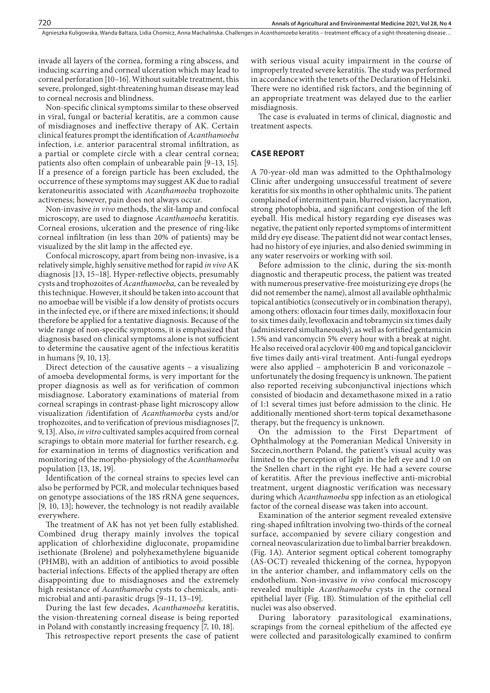invade all layers of the cornea, forming a ring abscess, and inducing scarring and corneal ulceration which may lead to corneal perforation [10–16]. Without suitable treatment, this severe, prolonged, sight-threatening human disease may lead to corneal necrosis and blindness.

Non-specific clinical symptoms similar to these observed in viral, fungal or bacterial keratitis, are a common cause of misdiagnoses and ineffective therapy of AK. Certain clinical features prompt the identification of *Acanthamoeba* infection, i.e. anterior paracentral stromal infiltration, as a partial or complete circle with a clear central cornea; patients also often complain of unbearable pain [9–13, 15]. If a presence of a foreign particle has been excluded, the occurrence of these symptoms may suggest AK due to radial keratoneuritis associated with *Acanthamoeba* trophozoite activeness; however, pain does not always occur.

Non-invasive *in vivo* methods, the slit-lamp and confocal microscopy, are used to diagnose *Acanthamoeba* keratitis. Corneal erosions, ulceration and the presence of ring-like corneal infiltration (in less than 20% of patients) may be visualized by the slit lamp in the affected eye.

Confocal microscopy, apart from being non-invasive, is a relatively simple, highly sensitive method for rapid *in vivo* AK diagnosis [13, 15–18]. Hyper-reflective objects, presumably cysts and trophozoites of *Acanthamoeba,* can be revealed by this technique. However, it should be taken into account that no amoebae will be visible if a low density of protists occurs in the infected eye, or if there are mixed infections; it should therefore be applied for a tentative diagnosis. Because of the wide range of non-specific symptoms, it is emphasized that diagnosis based on clinical symptoms alone is not sufficient to determine the causative agent of the infectious keratitis in humans [9, 10, 13].

Direct detection of the causative agents – a visualizing of amoeba developmental forms, is very important for the proper diagnosis as well as for verification of common misdiagnose. Laboratory examinations of material from corneal scrapings in contrast-phase light microscopy allow visualization /identifation of *Acanthamoeba* cysts and/or trophozoites, and to verification of previous misdiagnoses [7, 9, 13]. Also, *in vitro* cultivated samples acquired from corneal scrapings to obtain more material for further research, e.g. for examination in terms of diagnostics verification and monitoring of the morpho-physiology of the *Acanthamoeba* population [13, 18, 19].

Identification of the corneal strains to species level can also be performed by PCR, and molecular techniques based on genotype associations of the 18S rRNA gene sequences, [9, 10, 13]; however, the technology is not readily available everywhere.

The treatment of AK has not yet been fully established. Combined drug therapy mainly involves the topical application of chlorhexidine digluconate, propamidine isethionate (Brolene) and polyhexamethylene biguanide (PHMB), with an addition of antibiotics to avoid possible bacterial infections. Effects of the applied therapy are often disappointing due to misdiagnoses and the extremely high resistance of *Acanthamoeba* cysts to chemicals, antimicrobial and anti-parasitic drugs [9–11, 13–19].

During the last few decades, *Acanthamoeba* keratitis, the vision-threatening corneal disease is being reported in Poland with constantly increasing frequency [7, 10, 18].

This retrospective report presents the case of patient

with serious visual acuity impairment in the course of improperly treated severe keratitis. The study was performed in accordance with the tenets of the Declaration of Helsinki. There were no identified risk factors, and the beginning of an appropriate treatment was delayed due to the earlier misdiagnosis.

The case is evaluated in terms of clinical, diagnostic and treatment aspects.

## **CASE REPORT**

A 70-year-old man was admitted to the Ophthalmology Clinic after undergoing unsuccessful treatment of severe keratitis for six months in other ophthalmic units. The patient complained of intermittent pain, blurred vision, lacrymation, strong photophobia, and significant congestion of the left eyeball. His medical history regarding eye diseases was negative, the patient only reported symptoms of intermittent mild dry eye disease. The patient did not wear contact lenses, had no history of eye injuries, and also denied swimming in any water reservoirs or working with soil.

Before admission to the clinic, during the six-month diagnostic and therapeutic process, the patient was treated with numerous preservative-free moisturizing eye drops (he did not remember the name), almost all available ophthalmic topical antibiotics (consecutively or in combination therapy), among others: ofloxacin four times daily, moxifloxacin four to six times daily, levofloxacin and tobramycin six times daily (administered simultaneously), as well as fortified gentamicin 1.5% and vancomycin 5% every hour with a break at night. He also received oral acyclovir 400 mg and topical ganciclovir five times daily anti-viral treatment. Anti-fungal eyedrops were also applied – amphotericin B and voriconazole – unfortunately the dosing frequency is unknown. The patient also reported receiving subconjunctival injections which consisted of biodacin and dexamethasone mixed in a ratio of 1:1 several times just before admission to the clinic. He additionally mentioned short-term topical dexamethasone therapy, but the frequency is unknown.

On the admission to the First Department of Ophthalmology at the Pomeranian Medical University in Szczecin,northern Poland, the patient's visual acuity was limited to the perception of light in the left eye and 1.0 on the Snellen chart in the right eye. He had a severe course of keratitis. After the previous ineffective anti-microbial treatment, urgent diagnostic verification was necessary during which *Acanthamoeba* spp infection as an etiological factor of the corneal disease was taken into account.

Examination of the anterior segment revealed extensive ring-shaped infiltration involving two-thirds of the corneal surface, accompanied by severe ciliary congestion and corneal neovascularization due to limbal barrier breakdown. (Fig. 1A). Anterior segment optical coherent tomography (AS-OCT) revealed thickening of the cornea, hypopyon in the anterior chamber, and inflammatory cells on the endothelium. Non-invasive *in vivo* confocal microscopy revealed multiple *Acanthamoeba* cysts in the corneal epithelial layer (Fig. 1B). Stimulation of the epithelial cell nuclei was also observed.

During laboratory parasitological examinations, scrapings from the corneal epithelium of the affected eye were collected and parasitologically examined to confirm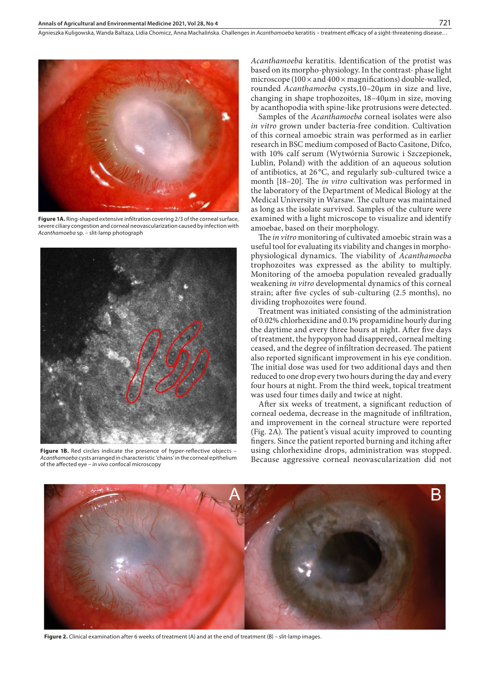

**Figure 1A.** Ring-shaped extensive infiltration covering 2/3 of the corneal surface, severe ciliary congestion and corneal neovascularization caused by infection with *Acanthamoeba* sp. – slit-lamp photograph



**Figure 1B.** Red circles indicate the presence of hyper-reflective objects – *Acanthamoeba* cysts arranged in characteristic 'chains' in the corneal epithelium of the affected eye – *in vivo* confocal microscopy

*Acanthamoeba* keratitis. Identification of the protist was based on its morpho-physiology. In the contrast- phase light microscope (100  $\times$  and 400  $\times$  magnifications) double-walled, rounded *Acanthamoeba* cysts,10–20μm in size and live, changing in shape trophozoites, 18–40μm in size, moving by acanthopodia with spine-like protrusions were detected.

Samples of the *Acanthamoeba* corneal isolates were also *in vitro* grown under bacteria-free condition. Cultivation of this corneal amoebic strain was performed as in earlier research in BSC medium composed of Bacto Casitone, Difco, with 10% calf serum (Wytwórnia Surowic i Szczepionek, Lublin, Poland) with the addition of an aqueous solution of antibiotics, at 26 °C, and regularly sub-cultured twice a month [18–20]. The *in vitro* cultivation was performed in the laboratory of the Department of Medical Biology at the Medical University in Warsaw. The culture was maintained as long as the isolate survived. Samples of the culture were examined with a light microscope to visualize and identify amoebae, based on their morphology.

The *in vitro* monitoring of cultivated amoebic strain was a useful tool for evaluating its viability and changes in morphophysiological dynamics. The viability of *Acanthamoeba* trophozoites was expressed as the ability to multiply. Monitoring of the amoeba population revealed gradually weakening *in vitro* developmental dynamics of this corneal strain; after five cycles of sub-culturing (2.5 months), no dividing trophozoites were found.

Treatment was initiated consisting of the administration of 0.02% chlorhexidine and 0.1% propamidine hourly during the daytime and every three hours at night. After five days of treatment, the hypopyon had disappered, corneal melting ceased, and the degree of infiltration decreased. The patient also reported significant improvement in his eye condition. The initial dose was used for two additional days and then reduced to one drop every two hours during the day and every four hours at night. From the third week, topical treatment was used four times daily and twice at night.

After six weeks of treatment, a significant reduction of corneal oedema, decrease in the magnitude of infiltration, and improvement in the corneal structure were reported (Fig. 2A). The patient's visual acuity improved to counting fingers. Since the patient reported burning and itching after using chlorhexidine drops, administration was stopped. Because aggressive corneal neovascularization did not



**Figure 2.** Clinical examination after 6 weeks of treatment (A) and at the end of treatment (B) – slit-lamp images.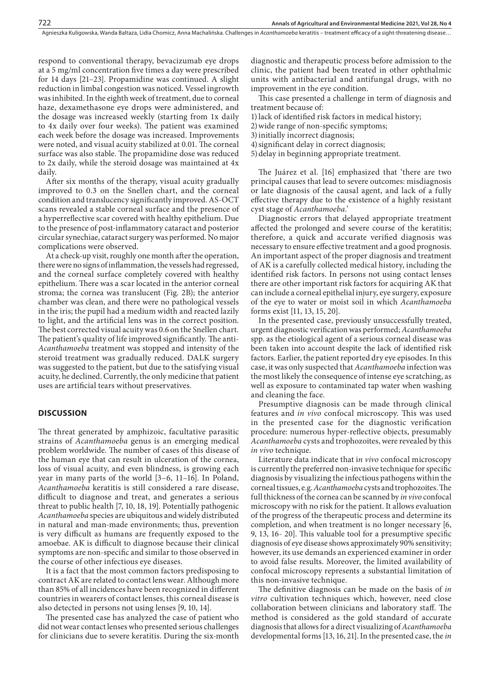respond to conventional therapy, bevacizumab eye drops at a 5 mg/ml concentration five times a day were prescribed for 14 days [21–23]. Propamidine was continued. A slight reduction in limbal congestion was noticed. Vessel ingrowth was inhibited. In the eighth week of treatment, due to corneal haze, dexamethasone eye drops were administered, and the dosage was increased weekly (starting from 1x daily to 4x daily over four weeks). The patient was examined each week before the dosage was increased. Improvements were noted, and visual acuity stabilized at 0.01. The corneal surface was also stable. The propamidine dose was reduced to 2x daily, while the steroid dosage was maintained at 4x daily.

After six months of the therapy, visual acuity gradually improved to 0.3 on the Snellen chart, and the corneal condition and translucency significantly improved. AS-OCT scans revealed a stable corneal surface and the presence of a hyperreflective scar covered with healthy epithelium. Due to the presence of post-inflammatory cataract and posterior circular synechiae, cataract surgery was performed. No major complications were observed.

At a check-up visit, roughly one month after the operation, there were no signs of inflammation, the vessels had regressed, and the corneal surface completely covered with healthy epithelium. There was a scar located in the anterior corneal stroma; the cornea was translucent (Fig. 2B); the anterior chamber was clean, and there were no pathological vessels in the iris; the pupil had a medium width and reacted lazily to light, and the artificial lens was in the correct position. The best corrected visual acuity was 0.6 on the Snellen chart. The patient's quality of life improved significantly. The anti-*Acanthamoeba* treatment was stopped and intensity of the steroid treatment was gradually reduced. DALK surgery was suggested to the patient, but due to the satisfying visual acuity, he declined. Currently, the only medicine that patient uses are artificial tears without preservatives.

#### **DISCUSSION**

The threat generated by amphizoic, facultative parasitic strains of *Acanthamoeba* genus is an emerging medical problem worldwide. The number of cases of this disease of the human eye that can result in ulceration of the cornea, loss of visual acuity, and even blindness, is growing each year in many parts of the world [3–6, 11–16]. In Poland, *Acanthamoeba* keratitis is still considered a rare disease, difficult to diagnose and treat, and generates a serious threat to public health [7, 10, 18, 19]. Potentially pathogenic *Acanthamoeba* species are ubiquitous and widely distributed in natural and man-made environments; thus, prevention is very difficult as humans are frequently exposed to the amoebae. AK is difficult to diagnose because their clinical symptoms are non-specific and similar to those observed in the course of other infectious eye diseases.

It is a fact that the most common factors predisposing to contract AK are related to contact lens wear. Although more than 85% of all incidences have been recognized in different countries in wearers of contact lenses, this corneal disease is also detected in persons not using lenses [9, 10, 14].

The presented case has analyzed the case of patient who did not wear contact lenses who presented serious challenges for clinicians due to severe keratitis. During the six-month diagnostic and therapeutic process before admission to the clinic, the patient had been treated in other ophthalmic units with antibacterial and antifungal drugs, with no improvement in the eye condition.

This case presented a challenge in term of diagnosis and treatment because of:

1)lack of identified risk factors in medical history;

- 2)wide range of non-specific symptoms;
- 3)initially incorrect diagnosis;
- 4)significant delay in correct diagnosis;
- 5)delay in beginning appropriate treatment.

The Juárez et al. [16] emphasized that 'there are two principal causes that lead to severe outcomes: misdiagnosis or late diagnosis of the causal agent, and lack of a fully effective therapy due to the existence of a highly resistant cyst stage of *Acanthamoeba*.'

Diagnostic errors that delayed appropriate treatment affected the prolonged and severe course of the keratitis; therefore, a quick and accurate verified diagnosis was necessary to ensure effective treatment and a good prognosis. An important aspect of the proper diagnosis and treatment of AK is a carefully collected medical history, including the identified risk factors. In persons not using contact lenses there are other important risk factors for acquiring AK that can include a corneal epithelial injury, eye surgery, exposure of the eye to water or moist soil in which *Acanthamoeba* forms exist [11, 13, 15, 20].

In the presented case, previously unsuccessfully treated, urgent diagnostic verification was performed; *Acanthamoeba* spp. as the etiological agent of a serious corneal disease was been taken into account despite the lack of identified risk factors. Earlier, the patient reported dry eye episodes. In this case, it was only suspected that *Acanthamoeba* infection was the most likely the consequence of intense eye scratching, as well as exposure to contaminated tap water when washing and cleaning the face.

Presumptive diagnosis can be made through clinical features and *in vivo* confocal microscopy. This was used in the presented case for the diagnostic verification procedure: numerous hyper-reflective objects, presumably *Acanthamoeba* cysts and trophozoites, were revealed by this *in vivo* technique.

Literature data indicate that i*n vivo* confocal microscopy is currently the preferred non-invasive technique for specific diagnosis by visualizing the infectious pathogens within the corneal tissues, e.g. *Acanthamoeba* cysts and trophozoites. The full thickness of the cornea can be scanned by *in vivo* confocal microscopy with no risk for the patient. It allows evaluation of the progress of the therapeutic process and determine its completion, and when treatment is no longer necessary [6, 9, 13, 16- 20]. This valuable tool for a presumptive specific diagnosis of eye disease shows approximately 90% sensitivity; however, its use demands an experienced examiner in order to avoid false results. Moreover, the limited availability of confocal microscopy represents a substantial limitation of this non-invasive technique.

The definitive diagnosis can be made on the basis of *in vitro* cultivation techniques which, however, need close collaboration between clinicians and laboratory staff. The method is considered as the gold standard of accurate diagnosis that allows for a direct visualizing of *Acanthamoeba*  developmental forms [13, 16, 21]. In the presented case, the *in*